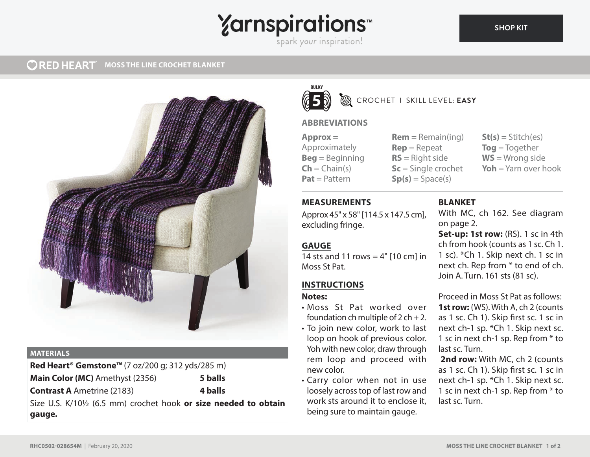# **Yarnspirations**

spark your inspiration!

#### **ORED HEART MOSS THE LINE CROCHET BLANKET**



#### **MATERIALS**

**Red Heart® Gemstone™** (7 oz/200 g; 312 yds/285 m) **Main Color (MC)** Amethyst (2356) **5 balls Contrast A** Ametrine (2183) **4 balls**

Size U.S. K/10½ (6.5 mm) crochet hook **or size needed to obtain gauge.**



## CROCHET I SKILL LEVEL: **EASY**

### **ABBREVIATIONS**

**Approx** = Approximately **Beg** = Beginning  $Ch = Chain(s)$ **Pat** = Pattern

 $Rem = Remain(ina)$ **Rep** = Repeat **RS** = Right side **Sc** = Single crochet  $Sp(s) = Space(s)$ 

 $St(s) = Stitch(es)$ **Tog** = Together **WS** = Wrong side **Yoh** = Yarn over hook

### **MEASUREMENTS**

Approx 45" x 58" [114.5 x 147.5 cm], excluding fringe.

### **GAUGE**

14 sts and 11 rows  $=$  4" [10 cm] in Moss St Pat.

#### **INSTRUCTIONS**

#### **Notes:**

- Moss St Pat worked over foundation ch multiple of  $2$  ch + 2.
- To join new color, work to last loop on hook of previous color. Yoh with new color, draw through rem loop and proceed with new color.
- Carry color when not in use loosely across top of last row and work sts around it to enclose it, being sure to maintain gauge.

#### **BLANKET**

With MC, ch 162. See diagram on page 2.

**Set-up: 1st row:** (RS). 1 sc in 4th ch from hook (counts as 1 sc. Ch 1. 1 sc). \*Ch 1. Skip next ch. 1 sc in next ch. Rep from \* to end of ch. Join A. Turn. 161 sts (81 sc).

Proceed in Moss St Pat as follows: **1st row:** (WS). With A, ch 2 (counts as 1 sc. Ch 1). Skip first sc. 1 sc in next ch-1 sp. \*Ch 1. Skip next sc. 1 sc in next ch-1 sp. Rep from \* to last sc. Turn.

 **2nd row:** With MC, ch 2 (counts as 1 sc. Ch 1). Skip first sc. 1 sc in next ch-1 sp. \*Ch 1. Skip next sc. 1 sc in next ch-1 sp. Rep from \* to last sc. Turn.